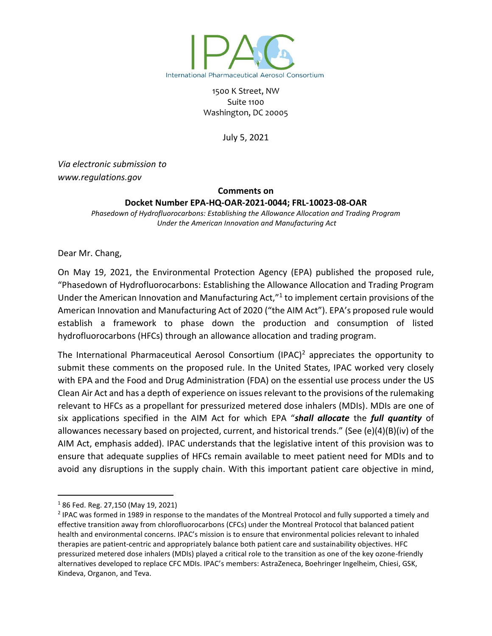

1500 K Street, NW Suite 1100 Washington, DC 20005

July 5, 2021

*Via electronic submission to www.regulations.gov*

### **Comments on**

#### **Docket Number EPA-HQ-OAR-2021-0044; FRL-10023-08-OAR**

*Phasedown of Hydrofluorocarbons: Establishing the Allowance Allocation and Trading Program Under the American Innovation and Manufacturing Act*

Dear Mr. Chang,

On May 19, 2021, the Environmental Protection Agency (EPA) published the proposed rule, "Phasedown of Hydrofluorocarbons: Establishing the Allowance Allocation and Trading Program Under the American Innovation and Manufacturing Act,"<sup>1</sup> to implement certain provisions of the American Innovation and Manufacturing Act of 2020 ("the AIM Act"). EPA's proposed rule would establish a framework to phase down the production and consumption of listed hydrofluorocarbons (HFCs) through an allowance allocation and trading program.

The International Pharmaceutical Aerosol Consortium (IPAC)<sup>2</sup> appreciates the opportunity to submit these comments on the proposed rule. In the United States, IPAC worked very closely with EPA and the Food and Drug Administration (FDA) on the essential use process under the US Clean Air Act and has a depth of experience on issues relevant to the provisions of the rulemaking relevant to HFCs as a propellant for pressurized metered dose inhalers (MDIs). MDIs are one of six applications specified in the AIM Act for which EPA "*shall allocate* the *full quantity* of allowances necessary based on projected, current, and historical trends." (See (e)(4)(B)(iv) of the AIM Act, emphasis added). IPAC understands that the legislative intent of this provision was to ensure that adequate supplies of HFCs remain available to meet patient need for MDIs and to avoid any disruptions in the supply chain. With this important patient care objective in mind,

<sup>1</sup> 86 Fed. Reg. 27,150 (May 19, 2021)

<sup>&</sup>lt;sup>2</sup> IPAC was formed in 1989 in response to the mandates of the Montreal Protocol and fully supported a timely and effective transition away from chlorofluorocarbons (CFCs) under the Montreal Protocol that balanced patient health and environmental concerns. IPAC's mission is to ensure that environmental policies relevant to inhaled therapies are patient-centric and appropriately balance both patient care and sustainability objectives. HFC pressurized metered dose inhalers (MDIs) played a critical role to the transition as one of the key ozone-friendly alternatives developed to replace CFC MDIs. IPAC's members: AstraZeneca, Boehringer Ingelheim, Chiesi, GSK, Kindeva, Organon, and Teva.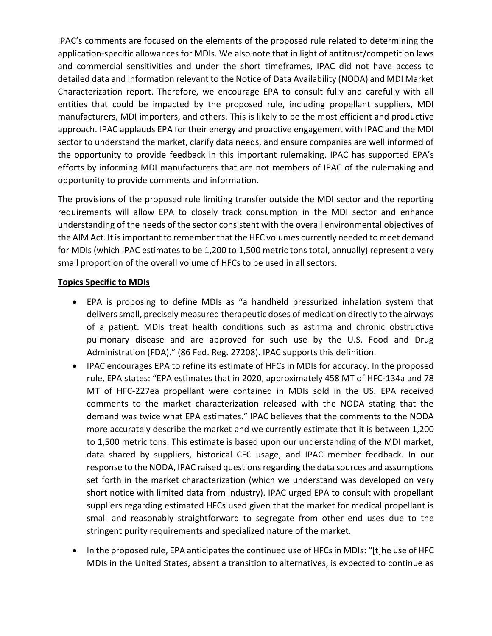IPAC's comments are focused on the elements of the proposed rule related to determining the application-specific allowances for MDIs. We also note that in light of antitrust/competition laws and commercial sensitivities and under the short timeframes, IPAC did not have access to detailed data and information relevant to the Notice of Data Availability (NODA) and MDI Market Characterization report. Therefore, we encourage EPA to consult fully and carefully with all entities that could be impacted by the proposed rule, including propellant suppliers, MDI manufacturers, MDI importers, and others. This is likely to be the most efficient and productive approach. IPAC applauds EPA for their energy and proactive engagement with IPAC and the MDI sector to understand the market, clarify data needs, and ensure companies are well informed of the opportunity to provide feedback in this important rulemaking. IPAC has supported EPA's efforts by informing MDI manufacturers that are not members of IPAC of the rulemaking and opportunity to provide comments and information.

The provisions of the proposed rule limiting transfer outside the MDI sector and the reporting requirements will allow EPA to closely track consumption in the MDI sector and enhance understanding of the needs of the sector consistent with the overall environmental objectives of the AIM Act. It is important to remember that the HFC volumes currently needed to meet demand for MDIs (which IPAC estimates to be 1,200 to 1,500 metric tons total, annually) represent a very small proportion of the overall volume of HFCs to be used in all sectors.

### **Topics Specific to MDIs**

- EPA is proposing to define MDIs as "a handheld pressurized inhalation system that deliverssmall, precisely measured therapeutic doses of medication directly to the airways of a patient. MDIs treat health conditions such as asthma and chronic obstructive pulmonary disease and are approved for such use by the U.S. Food and Drug Administration (FDA)." (86 Fed. Reg. 27208). IPAC supports this definition.
- IPAC encourages EPA to refine its estimate of HFCs in MDIs for accuracy. In the proposed rule, EPA states: "EPA estimates that in 2020, approximately 458 MT of HFC-134a and 78 MT of HFC-227ea propellant were contained in MDIs sold in the US. EPA received comments to the market characterization released with the NODA stating that the demand was twice what EPA estimates." IPAC believes that the comments to the NODA more accurately describe the market and we currently estimate that it is between 1,200 to 1,500 metric tons. This estimate is based upon our understanding of the MDI market, data shared by suppliers, historical CFC usage, and IPAC member feedback. In our response to the NODA, IPAC raised questions regarding the data sources and assumptions set forth in the market characterization (which we understand was developed on very short notice with limited data from industry). IPAC urged EPA to consult with propellant suppliers regarding estimated HFCs used given that the market for medical propellant is small and reasonably straightforward to segregate from other end uses due to the stringent purity requirements and specialized nature of the market.
- In the proposed rule, EPA anticipates the continued use of HFCs in MDIs: "[t]he use of HFC MDIs in the United States, absent a transition to alternatives, is expected to continue as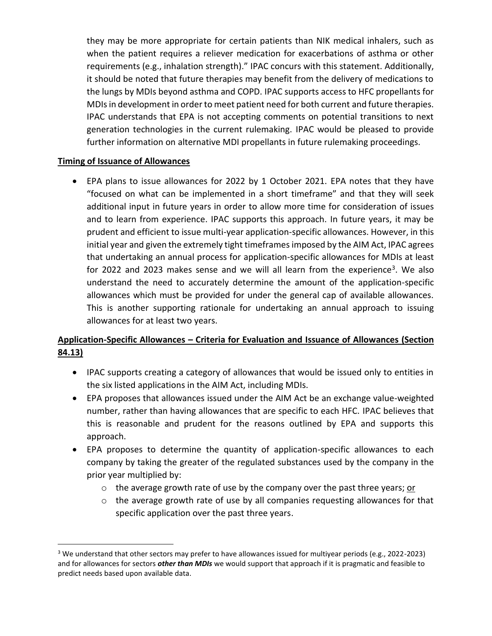they may be more appropriate for certain patients than NIK medical inhalers, such as when the patient requires a reliever medication for exacerbations of asthma or other requirements (e.g., inhalation strength)." IPAC concurs with this statement. Additionally, it should be noted that future therapies may benefit from the delivery of medications to the lungs by MDIs beyond asthma and COPD. IPAC supports access to HFC propellants for MDIs in development in order to meet patient need for both current and future therapies. IPAC understands that EPA is not accepting comments on potential transitions to next generation technologies in the current rulemaking. IPAC would be pleased to provide further information on alternative MDI propellants in future rulemaking proceedings.

# **Timing of Issuance of Allowances**

• EPA plans to issue allowances for 2022 by 1 October 2021. EPA notes that they have "focused on what can be implemented in a short timeframe" and that they will seek additional input in future years in order to allow more time for consideration of issues and to learn from experience. IPAC supports this approach. In future years, it may be prudent and efficient to issue multi-year application-specific allowances. However, in this initial year and given the extremely tight timeframes imposed by the AIM Act, IPAC agrees that undertaking an annual process for application-specific allowances for MDIs at least for 2022 and 2023 makes sense and we will all learn from the experience<sup>3</sup>. We also understand the need to accurately determine the amount of the application-specific allowances which must be provided for under the general cap of available allowances. This is another supporting rationale for undertaking an annual approach to issuing allowances for at least two years.

# **Application-Specific Allowances – Criteria for Evaluation and Issuance of Allowances (Section 84.13)**

- IPAC supports creating a category of allowances that would be issued only to entities in the six listed applications in the AIM Act, including MDIs.
- EPA proposes that allowances issued under the AIM Act be an exchange value-weighted number, rather than having allowances that are specific to each HFC. IPAC believes that this is reasonable and prudent for the reasons outlined by EPA and supports this approach.
- EPA proposes to determine the quantity of application-specific allowances to each company by taking the greater of the regulated substances used by the company in the prior year multiplied by:
	- $\circ$  the average growth rate of use by the company over the past three years; or
	- o the average growth rate of use by all companies requesting allowances for that specific application over the past three years.

<sup>&</sup>lt;sup>3</sup> We understand that other sectors may prefer to have allowances issued for multiyear periods (e.g., 2022-2023) and for allowances for sectors *other than MDIs* we would support that approach if it is pragmatic and feasible to predict needs based upon available data.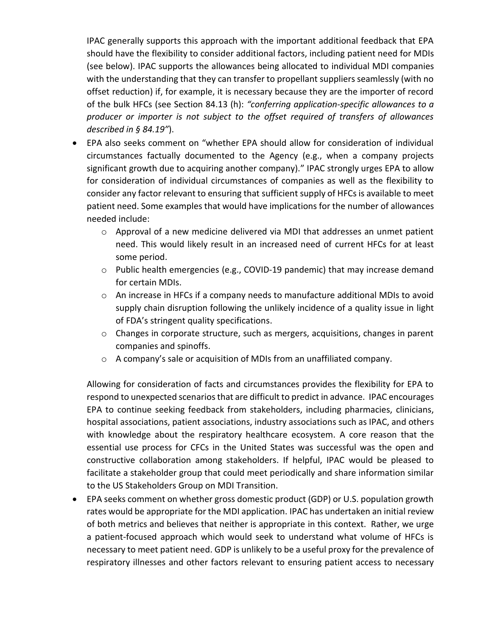IPAC generally supports this approach with the important additional feedback that EPA should have the flexibility to consider additional factors, including patient need for MDIs (see below). IPAC supports the allowances being allocated to individual MDI companies with the understanding that they can transfer to propellant suppliers seamlessly (with no offset reduction) if, for example, it is necessary because they are the importer of record of the bulk HFCs (see Section 84.13 (h): *"conferring application-specific allowances to a producer or importer is not subject to the offset required of transfers of allowances described in § 84.19"*).

- EPA also seeks comment on "whether EPA should allow for consideration of individual circumstances factually documented to the Agency (e.g., when a company projects significant growth due to acquiring another company)." IPAC strongly urges EPA to allow for consideration of individual circumstances of companies as well as the flexibility to consider any factor relevant to ensuring that sufficient supply of HFCs is available to meet patient need. Some examples that would have implications for the number of allowances needed include:
	- $\circ$  Approval of a new medicine delivered via MDI that addresses an unmet patient need. This would likely result in an increased need of current HFCs for at least some period.
	- o Public health emergencies (e.g., COVID-19 pandemic) that may increase demand for certain MDIs.
	- $\circ$  An increase in HFCs if a company needs to manufacture additional MDIs to avoid supply chain disruption following the unlikely incidence of a quality issue in light of FDA's stringent quality specifications.
	- o Changes in corporate structure, such as mergers, acquisitions, changes in parent companies and spinoffs.
	- o A company's sale or acquisition of MDIs from an unaffiliated company.

Allowing for consideration of facts and circumstances provides the flexibility for EPA to respond to unexpected scenarios that are difficult to predict in advance. IPAC encourages EPA to continue seeking feedback from stakeholders, including pharmacies, clinicians, hospital associations, patient associations, industry associations such as IPAC, and others with knowledge about the respiratory healthcare ecosystem. A core reason that the essential use process for CFCs in the United States was successful was the open and constructive collaboration among stakeholders. If helpful, IPAC would be pleased to facilitate a stakeholder group that could meet periodically and share information similar to the US Stakeholders Group on MDI Transition.

• EPA seeks comment on whether gross domestic product (GDP) or U.S. population growth rates would be appropriate for the MDI application. IPAC has undertaken an initial review of both metrics and believes that neither is appropriate in this context. Rather, we urge a patient-focused approach which would seek to understand what volume of HFCs is necessary to meet patient need. GDP is unlikely to be a useful proxy for the prevalence of respiratory illnesses and other factors relevant to ensuring patient access to necessary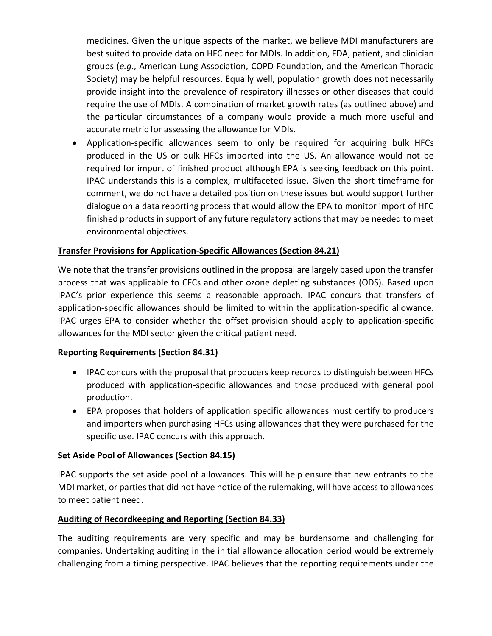medicines. Given the unique aspects of the market, we believe MDI manufacturers are best suited to provide data on HFC need for MDIs. In addition, FDA, patient, and clinician groups (*e.g*., American Lung Association, COPD Foundation, and the American Thoracic Society) may be helpful resources. Equally well, population growth does not necessarily provide insight into the prevalence of respiratory illnesses or other diseases that could require the use of MDIs. A combination of market growth rates (as outlined above) and the particular circumstances of a company would provide a much more useful and accurate metric for assessing the allowance for MDIs.

• Application-specific allowances seem to only be required for acquiring bulk HFCs produced in the US or bulk HFCs imported into the US. An allowance would not be required for import of finished product although EPA is seeking feedback on this point. IPAC understands this is a complex, multifaceted issue. Given the short timeframe for comment, we do not have a detailed position on these issues but would support further dialogue on a data reporting process that would allow the EPA to monitor import of HFC finished products in support of any future regulatory actionsthat may be needed to meet environmental objectives.

# **Transfer Provisions for Application-Specific Allowances (Section 84.21)**

We note that the transfer provisions outlined in the proposal are largely based upon the transfer process that was applicable to CFCs and other ozone depleting substances (ODS). Based upon IPAC's prior experience this seems a reasonable approach. IPAC concurs that transfers of application-specific allowances should be limited to within the application-specific allowance. IPAC urges EPA to consider whether the offset provision should apply to application-specific allowances for the MDI sector given the critical patient need.

### **Reporting Requirements (Section 84.31)**

- IPAC concurs with the proposal that producers keep records to distinguish between HFCs produced with application-specific allowances and those produced with general pool production.
- EPA proposes that holders of application specific allowances must certify to producers and importers when purchasing HFCs using allowances that they were purchased for the specific use. IPAC concurs with this approach.

# **Set Aside Pool of Allowances (Section 84.15)**

IPAC supports the set aside pool of allowances. This will help ensure that new entrants to the MDI market, or parties that did not have notice of the rulemaking, will have access to allowances to meet patient need.

# **Auditing of Recordkeeping and Reporting (Section 84.33)**

The auditing requirements are very specific and may be burdensome and challenging for companies. Undertaking auditing in the initial allowance allocation period would be extremely challenging from a timing perspective. IPAC believes that the reporting requirements under the